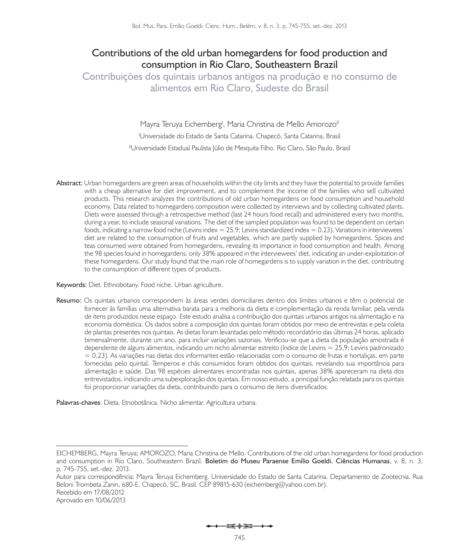# **Contributions of the old urban homegardens for food production and consumption in Rio Claro, Southeastern Brazil**

**Contribuições dos quintais urbanos antigos na produção e no consumo de alimentos em Rio Claro, Sudeste do Brasil**

> Mayra Teruya Eichemberg<sup>i</sup>, Maria Christina de Mello Amorozo<sup>li</sup> <sup>1</sup>Universidade do Estado de Santa Catarina. Chapecó, Santa Catarina, Brasil <sup>II</sup>Universidade Estadual Paulista Júlio de Mesquita Filho. Rio Claro, São Paulo, Brasil

**Abstract:** Urban homegardens are green areas of households within the city limits and they have the potential to provide families with a cheap alternative for diet improvement, and to complement the income of the families who sell cultivated products. This research analyzes the contributions of old urban homegardens on food consumption and household economy. Data related to homegardens composition were collected by interviews and by collecting cultivated plants. Diets were assessed through a retrospective method (last 24 hours food recall) and administered every two months, during a year, to include seasonal variations. The diet of the sampled population was found to be dependent on certain foods, indicating a narrow food niche (Levins index = 25.9; Levins standardized index = 0.23). Variations in interviewees' diet are related to the consumption of fruits and vegetables, which are partly supplied by homegardens. Spices and teas consumed were obtained from homegardens, revealing its importance in food consumption and health. Among the 98 species found in homegardens, only 38% appeared in the interviewees' diet, indicating an under-exploitation of these homegardens. Our study found that the main role of homegardens is to supply variation in the diet, contributing to the consumption of different types of products.

**Keywords:** Diet. Ethnobotany. Food niche. Urban agriculture.

**Resumo:** Os quintais urbanos correspondem às áreas verdes domiciliares dentro dos limites urbanos e têm o potencial de fornecer às famílias uma alternativa barata para a melhoria da dieta e complementação da renda familiar, pela venda de itens produzidos nesse espaço. Este estudo analisa a contribuição dos quintais urbanos antigos na alimentação e na economia doméstica. Os dados sobre a composição dos quintais foram obtidos por meio de entrevistas e pela coleta de plantas presentes nos quintais. As dietas foram levantadas pelo método recordatório das últimas 24 horas, aplicado bimensalmente, durante um ano, para incluir variações sazonais. Verificou-se que a dieta da população amostrada é dependente de alguns alimentos, indicando um nicho alimentar estreito (índice de Levins = 25,9; Levins padronizado = 0,23). As variações nas dietas dos informantes estão relacionadas com o consumo de frutas e hortaliças, em parte fornecidas pelo quintal. Temperos e chás consumidos foram obtidos dos quintais, revelando sua importância para alimentação e saúde. Das 98 espécies alimentares encontradas nos quintais, apenas 38% apareceram na dieta dos entrevistados, indicando uma subexploração dos quintais. Em nosso estudo, a principal função relatada para os quintais foi proporcionar variações da dieta, contribuindo para o consumo de itens diversificados.

**Palavras-chaves**: Dieta. Etnobotânica. Nicho alimentar. Agricultura urbana.

Autor para correspondência: Mayra Teruya Eichemberg. Universidade do Estado de Santa Catarina. Departamento de Zootecnia. Rua Beloni Trombeta Zanin, 680-E. Chapecó, SC, Brasil. CEP 89815-630 (eichemberg@yahoo.com.br). Recebido em 17/08/2012 Aprovado em 10/06/2013

 $\overline{\phantom{a}}$ 

EICHEMBERG, Mayra Teruya; AMOROZO, Maria Christina de Mello. Contributions of the old urban homegardens for food production and consumption in Rio Claro, Southeastern Brazil. **Boletim do Museu Paraense Emílio Goeldi. Ciências Humanas**, v. 8, n. 3, p. 745-755, set.-dez. 2013.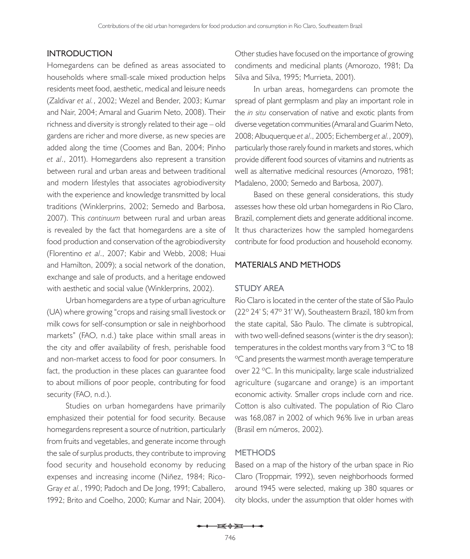### **Introduction**

Homegardens can be defined as areas associated to households where small-scale mixed production helps residents meet food, aesthetic, medical and leisure needs (Zaldivar *et al.*, 2002; Wezel and Bender, 2003; Kumar and Nair, 2004; Amaral and Guarim Neto, 2008). Their richness and diversity is strongly related to their age – old gardens are richer and more diverse, as new species are added along the time (Coomes and Ban, 2004; Pinho *et al*., 2011). Homegardens also represent a transition between rural and urban areas and between traditional and modern lifestyles that associates agrobiodiversity with the experience and knowledge transmitted by local traditions (Winklerprins, 2002; Semedo and Barbosa, 2007). This *continuum* between rural and urban areas is revealed by the fact that homegardens are a site of food production and conservation of the agrobiodiversity (Florentino *et al*., 2007; Kabir and Webb, 2008; Huai and Hamilton, 2009); a social network of the donation, exchange and sale of products, and a heritage endowed with aesthetic and social value (Winklerprins, 2002).

Urban homegardens are a type of urban agriculture (UA) where growing "crops and raising small livestock or milk cows for self-consumption or sale in neighborhood markets" (FAO, n.d.) take place within small areas in the city and offer availability of fresh, perishable food and non-market access to food for poor consumers. In fact, the production in these places can guarantee food to about millions of poor people, contributing for food security (FAO, n.d.).

Studies on urban homegardens have primarily emphasized their potential for food security. Because homegardens represent a source of nutrition, particularly from fruits and vegetables, and generate income through the sale of surplus products, they contribute to improving food security and household economy by reducing expenses and increasing income (Niñez, 1984; Rico-Gray *et al.*, 1990; Padoch and De Jong, 1991; Caballero, 1992; Brito and Coelho, 2000; Kumar and Nair, 2004).

Other studies have focused on the importance of growing condiments and medicinal plants (Amorozo, 1981; Da Silva and Silva, 1995; Murrieta, 2001).

In urban areas, homegardens can promote the spread of plant germplasm and play an important role in the *in situ* conservation of native and exotic plants from diverse vegetation communities (Amaral and Guarim Neto, 2008; Albuquerque *et al*., 2005; Eichemberg *et al.*, 2009), particularly those rarely found in markets and stores, which provide different food sources of vitamins and nutrients as well as alternative medicinal resources (Amorozo, 1981; Madaleno, 2000; Semedo and Barbosa, 2007).

Based on these general considerations, this study assesses how these old urban homegardens in Rio Claro, Brazil, complement diets and generate additional income. It thus characterizes how the sampled homegardens contribute for food production and household economy.

#### **Materials and methods**

### **Study area**

Rio Claro is located in the center of the state of São Paulo (22º 24' S; 47º 31' W), Southeastern Brazil, 180 km from the state capital, São Paulo. The climate is subtropical, with two well-defined seasons (winter is the dry season); temperatures in the coldest months vary from 3 °C to 18 ºC and presents the warmest month average temperature over 22 ºC. In this municipality, large scale industrialized agriculture (sugarcane and orange) is an important economic activity. Smaller crops include corn and rice. Cotton is also cultivated. The population of Rio Claro was 168,087 in 2002 of which 96% live in urban areas (Brasil em números, 2002).

#### **Methods**

Based on a map of the history of the urban space in Rio Claro (Troppmair, 1992), seven neighborhoods formed around 1945 were selected, making up 380 squares or city blocks, under the assumption that older homes with

 $\mathbf{E} \oplus \mathbf{H}$   $\rightarrow$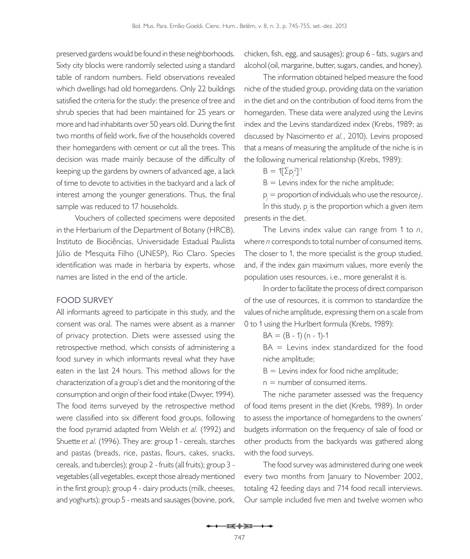preserved gardens would be found in these neighborhoods. Sixty city blocks were randomly selected using a standard table of random numbers. Field observations revealed which dwellings had old homegardens. Only 22 buildings satisfied the criteria for the study: the presence of tree and shrub species that had been maintained for 25 years or more and had inhabitants over 50 years old. During the first two months of field work, five of the households covered their homegardens with cement or cut all the trees. This decision was made mainly because of the difficulty of keeping up the gardens by owners of advanced age, a lack of time to devote to activities in the backyard and a lack of interest among the younger generations. Thus, the final sample was reduced to 17 households.

Vouchers of collected specimens were deposited in the Herbarium of the Department of Botany (HRCB), Instituto de Biociências, Universidade Estadual Paulista Júlio de Mesquita Filho (UNESP), Rio Claro. Species identification was made in herbaria by experts, whose names are listed in the end of the article.

#### **Food survey**

All informants agreed to participate in this study, and the consent was oral. The names were absent as a manner of privacy protection. Diets were assessed using the retrospective method, which consists of administering a food survey in which informants reveal what they have eaten in the last 24 hours. This method allows for the characterization of a group's diet and the monitoring of the consumption and origin of their food intake (Dwyer, 1994). The food items surveyed by the retrospective method were classified into six different food groups, following the food pyramid adapted from Welsh *et al.* (1992) and Shuette *et al.* (1996). They are: group 1 - cereals, starches and pastas (breads, rice, pastas, flours, cakes, snacks, cereals, and tubercles); group 2 - fruits (all fruits); group 3 vegetables (all vegetables, except those already mentioned in the first group); group 4 - dairy products (milk, cheeses, and yoghurts); group 5 - meats and sausages (bovine, pork,

chicken, fish, egg, and sausages); group 6 - fats, sugars and alcohol (oil, margarine, butter, sugars, candies, and honey).

The information obtained helped measure the food niche of the studied group, providing data on the variation in the diet and on the contribution of food items from the homegarden. These data were analyzed using the Levins index and the Levins standardized index (Krebs, 1989; as discussed by Nascimento *et al.*, 2010). Levins proposed that a means of measuring the amplitude of the niche is in the following numerical relationship (Krebs, 1989):

$$
B = 1[\Sigma p_j^2]^{-1}
$$

 $B =$  Levins index for the niche amplitude;

p*j* = proportion of individuals who use the resource *j*.

In this study,  $p_j$  is the proportion which a given item presents in the diet.

The Levins index value can range from 1 to *n*, where *n* corresponds to total number of consumed items. The closer to 1, the more specialist is the group studied, and, if the index gain maximum values, more evenly the population uses resources, i.e., more generalist it is.

In order to facilitate the process of direct comparison of the use of resources, it is common to standardize the values of niche amplitude, expressing them on a scale from 0 to 1 using the Hurlbert formula (Krebs, 1989):

$$
BA = (B - 1) (n - 1) - 1
$$

 $BA =$  Levins index standardized for the food niche amplitude;

 $B =$  Levins index for food niche amplitude;

 $n =$  number of consumed items.

The niche parameter assessed was the frequency of food items present in the diet (Krebs, 1989). In order to assess the importance of homegardens to the owners' budgets information on the frequency of sale of food or other products from the backyards was gathered along with the food surveys.

The food survey was administered during one week every two months from January to November 2002, totaling 42 feeding days and 714 food recall interviews. Our sample included five men and twelve women who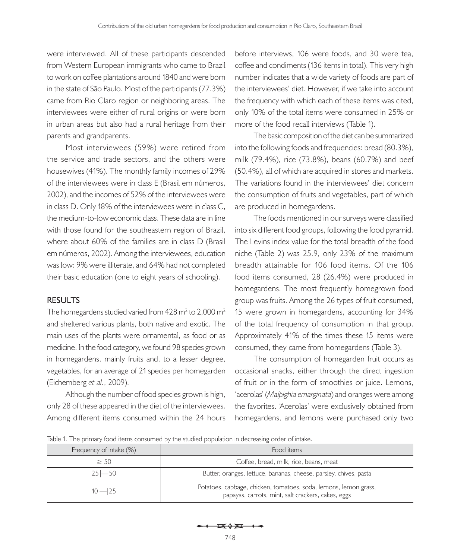were interviewed. All of these participants descended from Western European immigrants who came to Brazil to work on coffee plantations around 1840 and were born in the state of São Paulo. Most of the participants (77.3%) came from Rio Claro region or neighboring areas. The interviewees were either of rural origins or were born in urban areas but also had a rural heritage from their parents and grandparents.

Most interviewees (59%) were retired from the service and trade sectors, and the others were housewives (41%). The monthly family incomes of 29% of the interviewees were in class E (Brasil em números, 2002), and the incomes of 52% of the interviewees were in class D. Only 18% of the interviewees were in class C, the medium-to-low economic class. These data are in line with those found for the southeastern region of Brazil, where about 60% of the families are in class D (Brasil em números, 2002). Among the interviewees, education was low: 9% were illiterate, and 64% had not completed their basic education (one to eight years of schooling).

#### **Results**

The homegardens studied varied from 428 m<sup>2</sup> to 2,000 m<sup>2</sup> and sheltered various plants, both native and exotic. The main uses of the plants were ornamental, as food or as medicine. In the food category, we found 98 species grown in homegardens, mainly fruits and, to a lesser degree, vegetables, for an average of 21 species per homegarden (Eichemberg *et al.*, 2009).

Although the number of food species grown is high, only 28 of these appeared in the diet of the interviewees. Among different items consumed within the 24 hours

before interviews, 106 were foods, and 30 were tea, coffee and condiments (136 items in total). This very high number indicates that a wide variety of foods are part of the interviewees' diet. However, if we take into account the frequency with which each of these items was cited, only 10% of the total items were consumed in 25% or more of the food recall interviews (Table 1).

The basic composition of the diet can be summarized into the following foods and frequencies: bread (80.3%), milk (79.4%), rice (73.8%), beans (60.7%) and beef (50.4%), all of which are acquired in stores and markets. The variations found in the interviewees' diet concern the consumption of fruits and vegetables, part of which are produced in homegardens.

The foods mentioned in our surveys were classified into six different food groups, following the food pyramid. The Levins index value for the total breadth of the food niche (Table 2) was 25.9, only 23% of the maximum breadth attainable for 106 food items. Of the 106 food items consumed, 28 (26.4%) were produced in homegardens. The most frequently homegrown food group was fruits. Among the 26 types of fruit consumed, 15 were grown in homegardens, accounting for 34% of the total frequency of consumption in that group. Approximately 41% of the times these 15 items were consumed, they came from homegardens (Table 3).

The consumption of homegarden fruit occurs as occasional snacks, either through the direct ingestion of fruit or in the form of smoothies or juice. Lemons, 'acerolas' (*Malpighia emarginata*) and oranges were among the favorites. 'Acerolas' were exclusively obtained from homegardens, and lemons were purchased only two

Table 1. The primary food items consumed by the studied population in decreasing order of intake.

| Frequency of intake (%) | Food items                                                                                                             |  |  |  |
|-------------------------|------------------------------------------------------------------------------------------------------------------------|--|--|--|
| $\geq 50$               | Coffee, bread, milk, rice, beans, meat                                                                                 |  |  |  |
| $25 - 50$               | Butter, oranges, lettuce, bananas, cheese, parsley, chives, pasta                                                      |  |  |  |
| $10 - 25$               | Potatoes, cabbage, chicken, tomatoes, soda, lemons, lemon grass,<br>papayas, carrots, mint, salt crackers, cakes, eggs |  |  |  |

 $\frac{1}{2}$   $\frac{1}{2}$   $\frac{1}{2}$   $\frac{1}{2}$   $\frac{1}{2}$   $\frac{1}{2}$   $\frac{1}{2}$   $\frac{1}{2}$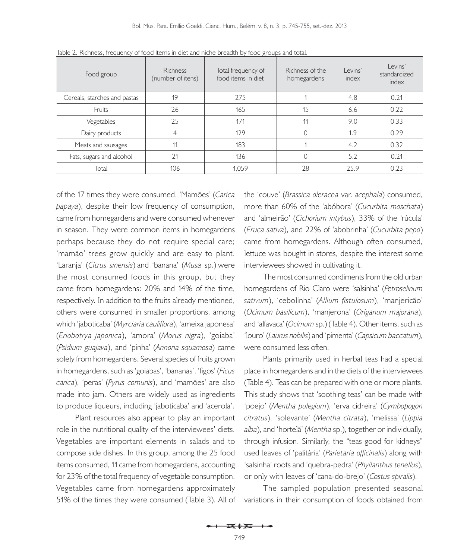| Food group                   | <b>Richness</b><br>(number of itens) | Total frequency of<br>food items in diet | Richness of the<br>homegardens | Levins'<br>index | Levins'<br>standardized<br>index |
|------------------------------|--------------------------------------|------------------------------------------|--------------------------------|------------------|----------------------------------|
| Cereals, starches and pastas | 19                                   | 275                                      |                                | 4.8              | 0.21                             |
| Fruits                       | 26                                   | 165                                      | 15                             | 6.6              | 0.22                             |
| Vegetables                   | 25                                   | 171                                      | 11                             | 9.0              | 0.33                             |
| Dairy products               | 4                                    | 129                                      |                                | 1.9              | 0.29                             |
| Meats and sausages           | 11                                   | 183                                      |                                | 4.2              | 0.32                             |
| Fats, sugars and alcohol     | 21                                   | 136                                      |                                | 5.2              | 0.21                             |
| Total                        | 106                                  | 1.059                                    | 28                             | 25.9             | 0.23                             |

Table 2. Richness, frequency of food items in diet and niche breadth by food groups and total.

of the 17 times they were consumed. 'Mamões' (*Carica papaya*), despite their low frequency of consumption, came from homegardens and were consumed whenever in season. They were common items in homegardens perhaps because they do not require special care; 'mamão' trees grow quickly and are easy to plant. 'Laranja' (*Citrus sinensis*) and 'banana' (*Musa* sp.) were the most consumed foods in this group, but they came from homegardens: 20% and 14% of the time, respectively. In addition to the fruits already mentioned, others were consumed in smaller proportions, among which 'jaboticaba' (*Myrciaria cauliflora*), 'ameixa japonesa' (*Eriobotrya japonica*), 'amora' (*Morus nigra*), 'goiaba' (*Psidium guajava*), and 'pinha' (*Annona squamosa*) came solely from homegardens. Several species of fruits grown in homegardens, such as 'goiabas', 'bananas', 'figos' (*Ficus carica*), 'peras' (*Pyrus comunis*), and 'mamões' are also made into jam. Others are widely used as ingredients to produce liqueurs, including 'jaboticaba' and 'acerola'.

Plant resources also appear to play an important role in the nutritional quality of the interviewees' diets. Vegetables are important elements in salads and to compose side dishes. In this group, among the 25 food items consumed, 11 came from homegardens, accounting for 23% of the total frequency of vegetable consumption. Vegetables came from homegardens approximately 51% of the times they were consumed (Table 3). All of the 'couve' (*Brassica oleracea* var. *acephala*) consumed, more than 60% of the 'abóbora' (*Cucurbita moschata*) and 'almeirão' (*Cichorium intybus*), 33% of the 'rúcula' (*Eruca sativa*), and 22% of 'abobrinha' (*Cucurbita pepo*) came from homegardens. Although often consumed, lettuce was bought in stores, despite the interest some interviewees showed in cultivating it.

The most consumed condiments from the old urban homegardens of Rio Claro were 'salsinha' (*Petroselinum sativum*), 'cebolinha' (*Allium fistulosum*), 'manjericão' (*Ocimum basilicum*), 'manjerona' (*Origanum majorana*), and 'alfavaca' (*Ocimum* sp.) (Table 4). Other items, such as 'louro' (*Laurus nobilis*) and 'pimenta' (*Capsicum baccatum*), were consumed less often.

Plants primarily used in herbal teas had a special place in homegardens and in the diets of the interviewees (Table 4). Teas can be prepared with one or more plants. This study shows that 'soothing teas' can be made with 'poejo' (*Mentha pulegium*), 'erva cidreira' (*Cymbopogon citratus*), 'solevante' (*Mentha citrata*), 'melissa' (*Lippia alba*), and 'hortelã' (*Mentha* sp.), together or individually, through infusion. Similarly, the "teas good for kidneys" used leaves of 'palitária' (*Parietaria officinalis*) along with 'salsinha' roots and 'quebra-pedra' (*Phyllanthus tenellus*), or only with leaves of 'cana-do-brejo' (*Costus spiralis*).

The sampled population presented seasonal variations in their consumption of foods obtained from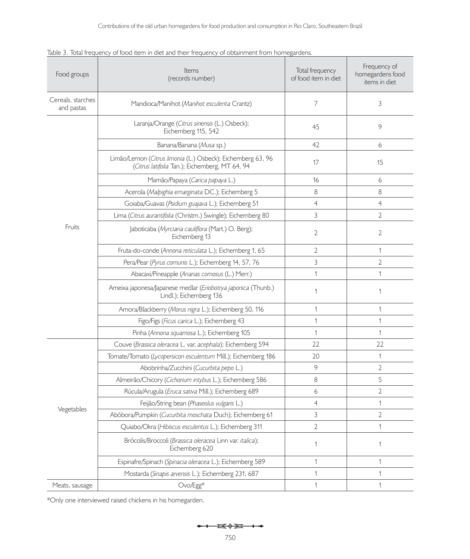| Food groups                     | Items<br>(records number)                                                                                     | Total frequency<br>of food item in diet | Frequency of<br>homegardens food<br>items in diet |
|---------------------------------|---------------------------------------------------------------------------------------------------------------|-----------------------------------------|---------------------------------------------------|
| Cereals, starches<br>and pastas | Mandioca/Manihot (Manihot esculenta Crantz)                                                                   | 7                                       | 3                                                 |
|                                 | Laranja/Orange (Citrus sinensis (L.) Osbeck);<br>Eichemberg 115, 542                                          | 45                                      | 9                                                 |
|                                 | Banana/Banana (Musa sp.)                                                                                      | 42                                      | 6                                                 |
|                                 | Limão/Lemon (Citrus limonia (L.) Osbeck); Eichemberg 63, 96<br>(Citrus latifolia Tan.); Eichemberg, MT 64, 94 | 17                                      | 15                                                |
|                                 | Mamão/Papaya (Carica papaya L.)                                                                               | 16                                      | 6                                                 |
|                                 | Acerola (Malpighia emarginata DC.); Eichemberg 5                                                              | 8                                       | 8                                                 |
|                                 | Goiaba/Guavas (Psidium guajava L.); Eichemberg 51                                                             | $\overline{4}$                          | $\overline{4}$                                    |
|                                 | Lima (Citrus aurantifolia (Christm.) Swingle); Eichemberg 80                                                  | 3                                       | $\overline{2}$                                    |
| Fruits                          | Jaboticaba (Myrciaria cauliflora (Mart.) O. Berg);<br>Eichemberg 13                                           | 2                                       | $\overline{2}$                                    |
|                                 | Fruta-do-conde (Annona reticulata L.); Eichemberg 1, 65                                                       | $\overline{2}$                          | 1                                                 |
|                                 | Pera/Pear (Pyrus comunis L.); Eichemberg 14, 57, 76                                                           | 3                                       | $\overline{2}$                                    |
|                                 | Abacaxi/Pineapple (Ananas comosus (L.) Merr.)                                                                 | $\mathbf{1}$                            | 1                                                 |
|                                 | Ameixa japonesa/Japanese medlar (Eriobotrya japonica (Thunb.)<br>Lindl.); Eichemberg 136                      | $\mathbf 1$                             | 1                                                 |
|                                 | Amora/Blackberry (Morus nigra L.); Eichemberg 50, 116                                                         | $\mathbf{1}$                            | 1                                                 |
|                                 | Figo/Figs (Ficus carica L.); Eichemberg 43                                                                    | $\mathbf{1}$                            | 1                                                 |
|                                 | Pinha (Annona squamosa L.); Eichemberg 105                                                                    | 1                                       | 1                                                 |
| Vegetables                      | Couve (Brassica oleracea L. var. acephala); Eichemberg 594                                                    | 22                                      | 22                                                |
|                                 | Tomate/Tomato (Lycopersicon esculentum Mill.); Eichemberg 186                                                 | 20                                      | 1                                                 |
|                                 | Abobrinha/Zucchini (Cucurbita pepo L.)                                                                        | 9                                       | $\overline{2}$                                    |
|                                 | Almeirão/Chicory (Cichorium intybus L.); Eichemberg 586                                                       | 8                                       | 5                                                 |
|                                 | Rúcula/Arugula (Eruca sativa Mill.); Eichemberg 689                                                           | 6                                       | 2                                                 |
|                                 | Feijão/String bean (Phaseolus vulgaris L.)                                                                    | $\overline{4}$                          | 1                                                 |
|                                 | Abóbora/Pumpkin (Cucurbita moschata Duch); Eichemberg 61                                                      | 3                                       | 2                                                 |
|                                 | Quiabo/Okra (Hibiscus esculentus L.); Eichemberg 311                                                          | $\overline{2}$                          | 1                                                 |
|                                 | Brócolis/Broccoli (Brassica oleracea Linn var. italica);<br>Eichemberg 620                                    | $\mathbf 1$                             | 1                                                 |
|                                 | Espinafre/Spinach (Spinacia oleracea L.); Eichemberg 589                                                      | 1                                       | 1                                                 |
|                                 | Mostarda (Sinapis arvensis L.); Eichemberg 231, 687                                                           | $\mathbf{1}$                            | 1                                                 |
| Meats, sausage                  | Ovo/Egg*                                                                                                      | 1                                       | 1                                                 |

| Table 3. Total frequency of food item in diet and their frequency of obtainment from homegardens. |
|---------------------------------------------------------------------------------------------------|
|---------------------------------------------------------------------------------------------------|

\*Only one interviewed raised chickens in his homegarden.

$$
\leftarrow \leftarrow \rightarrow \rightarrow
$$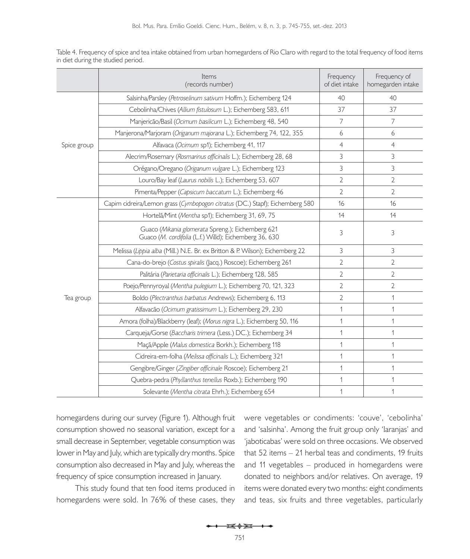Table 4. Frequency of spice and tea intake obtained from urban homegardens of Rio Claro with regard to the total frequency of food items in diet during the studied period.

|             | Items<br>(records number)                                                                                   | Frequency<br>of diet intake | Frequency of<br>homegarden intake |
|-------------|-------------------------------------------------------------------------------------------------------------|-----------------------------|-----------------------------------|
|             | Salsinha/Parsley (Petroselinum sativum Hoffm.); Eichemberg 124                                              | 40                          | 40                                |
|             | Cebolinha/Chives (Allium fistulosum L.); Eichemberg 583, 611                                                | 37                          | 37                                |
|             | Manjericão/Basil (Ocimum basilicum L.); Eichemberg 48, 540                                                  | $\overline{\phantom{a}}$    | 7                                 |
|             | Manjerona/Marjoram (Origanum majorana L.); Eichemberg 74, 122, 355                                          | 6                           | 6                                 |
| Spice group | Alfavaca (Ocimum sp1); Eichemberg 41, 117                                                                   | $\overline{4}$              | $\overline{4}$                    |
|             | Alecrim/Rosemary (Rosmarinus officinalis L.); Eichemberg 28, 68                                             | 3                           | 3                                 |
|             | Orégano/Oregano (Origanum vulgare L.); Eichemberg 123                                                       | 3                           | 3                                 |
|             | Louro/Bay leaf (Laurus nobilis L.); Eichemberg 53, 607                                                      | 2                           | 2                                 |
|             | Pimenta/Pepper (Capsicum baccatum L.); Eichemberg 46                                                        | 2                           | $\overline{2}$                    |
|             | Capim cidreira/Lemon grass (Cymbopogon citratus (DC.) Stapf); Eichemberg 580                                | 16                          | 16                                |
|             | Hortelã/Mint (Mentha sp1); Eichemberg 31, 69, 75                                                            | 14                          | 14                                |
|             | Guaco (Mikania glomerata Spreng.); Eichemberg 621<br>Guaco (M. cordifolia (L.f.) Willd); Eichemberg 36, 630 | 3                           | 3                                 |
|             | Melissa (Lippia alba (Mill.) N.E. Br. ex Britton & P. Wilson); Eichemberg 22                                | 3                           | 3                                 |
|             | Cana-do-brejo (Costus spiralis (Jacq.) Roscoe); Eichemberg 261                                              | $\overline{2}$              | $\overline{2}$                    |
| Tea group   | Palitária (Parietaria officinalis L.); Eichemberg 128, 585                                                  | $\overline{2}$              | 2                                 |
|             | Poejo/Pennyroyal (Mentha pulegium L.); Eichemberg 70, 121, 323                                              | $\overline{2}$              | $\overline{2}$                    |
|             | Boldo (Plectranthus barbatus Andrews); Eichemberg 6, 113                                                    | $\overline{2}$              | 1                                 |
|             | Alfavacão (Ocimum gratissimum L.); Eichemberg 29, 230                                                       | 1                           | 1                                 |
|             | Amora (folha)/Blackberry (leaf); (Morus nigra L.); Eichemberg 50, 116                                       | $\mathbf{1}$                | 1                                 |
|             | Carqueja/Gorse (Baccharis trimera (Less.) DC.); Eichemberg 34                                               | 1                           | 1                                 |
|             | Maçã/Apple (Malus domestica Borkh.); Eichemberg 118                                                         | 1                           | 1                                 |
|             | Cidreira-em-folha (Melissa officinalis L.); Eichemberg 321                                                  | 1                           | 1                                 |
|             | Gengibre/Ginger (Zingiber officinale Roscoe); Eichemberg 21                                                 | 1                           | 1                                 |
|             | Quebra-pedra (Phyllanthus tenellus Roxb.); Eichemberg 190                                                   | 1                           | 1                                 |
|             | Solevante (Mentha citrata Ehrh.); Eichemberg 654                                                            | 1                           | 1                                 |

homegardens during our survey (Figure 1). Although fruit consumption showed no seasonal variation, except for a small decrease in September, vegetable consumption was lower in May and July, which are typically dry months. Spice consumption also decreased in May and July, whereas the frequency of spice consumption increased in January.

This study found that ten food items produced in homegardens were sold. In 76% of these cases, they were vegetables or condiments: 'couve', 'cebolinha' and 'salsinha'. Among the fruit group only 'laranjas' and 'jaboticabas' were sold on three occasions. We observed that 52 items – 21 herbal teas and condiments, 19 fruits and 11 vegetables – produced in homegardens were donated to neighbors and/or relatives. On average, 19 items were donated every two months: eight condiments and teas, six fruits and three vegetables, particularly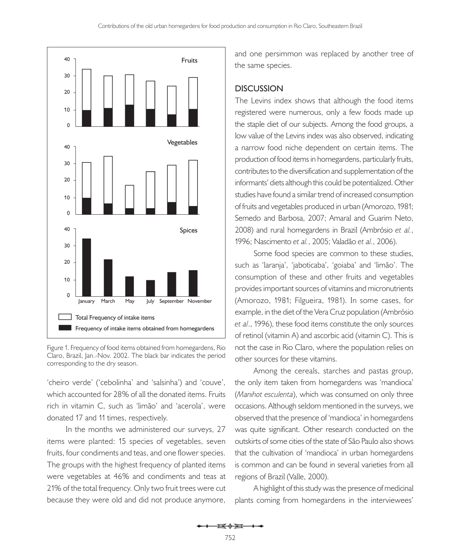

Figure 1. Frequency of food items obtained from homegardens, Rio Claro, Brazil, Jan.-Nov. 2002. The black bar indicates the period corresponding to the dry season.

'cheiro verde' ('cebolinha' and 'salsinha') and 'couve', which accounted for 28% of all the donated items. Fruits rich in vitamin C, such as 'limão' and 'acerola', were donated 17 and 11 times, respectively.

In the months we administered our surveys, 27 items were planted: 15 species of vegetables, seven fruits, four condiments and teas, and one flower species. The groups with the highest frequency of planted items were vegetables at 46% and condiments and teas at 21% of the total frequency. Only two fruit trees were cut because they were old and did not produce anymore, and one persimmon was replaced by another tree of the same species.

#### **Discussion**

The Levins index shows that although the food items registered were numerous, only a few foods made up the staple diet of our subjects. Among the food groups, a low value of the Levins index was also observed, indicating a narrow food niche dependent on certain items. The production of food items in homegardens, particularly fruits, contributes to the diversification and supplementation of the informants' diets although this could be potentialized. Other studies have found a similar trend of increased consumption of fruits and vegetables produced in urban (Amorozo, 1981; Semedo and Barbosa, 2007; Amaral and Guarim Neto, 2008) and rural homegardens in Brazil (Ambrósio *et al.*, 1996; Nascimento *et al.*, 2005; Valadão *et al.*, 2006).

Some food species are common to these studies, such as 'laranja', 'jaboticaba', 'goiaba' and 'limão'. The consumption of these and other fruits and vegetables provides important sources of vitamins and micronutrients (Amorozo, 1981; Filgueira, 1981). In some cases, for example, in the diet of the Vera Cruz population (Ambrósio *et al*., 1996), these food items constitute the only sources of retinol (vitamin A) and ascorbic acid (vitamin C). This is not the case in Rio Claro, where the population relies on other sources for these vitamins.

Among the cereals, starches and pastas group, the only item taken from homegardens was 'mandioca' (*Manihot esculenta*), which was consumed on only three occasions. Although seldom mentioned in the surveys, we observed that the presence of 'mandioca' in homegardens was quite significant. Other research conducted on the outskirts of some cities of the state of São Paulo also shows that the cultivation of 'mandioca' in urban homegardens is common and can be found in several varieties from all regions of Brazil (Valle, 2000).

A highlight of this study was the presence of medicinal plants coming from homegardens in the interviewees'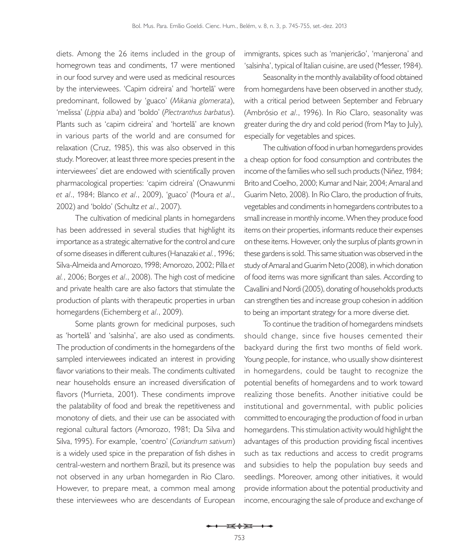diets. Among the 26 items included in the group of homegrown teas and condiments, 17 were mentioned in our food survey and were used as medicinal resources by the interviewees. 'Capim cidreira' and 'hortelã' were predominant, followed by 'guaco' (*Mikania glomerata*), 'melissa' (*Lippia alba*) and 'boldo' (*Plectranthus barbatus*). Plants such as 'capim cidreira' and 'hortelã' are known in various parts of the world and are consumed for relaxation (Cruz, 1985), this was also observed in this study. Moreover, at least three more species present in the interviewees' diet are endowed with scientifically proven pharmacological properties: 'capim cidreira' (Onawunmi *et al*., 1984; Blanco *et al*., 2009), 'guaco' (Moura *et al*., 2002) and 'boldo' (Schultz *et al*., 2007).

The cultivation of medicinal plants in homegardens has been addressed in several studies that highlight its importance as a strategic alternative for the control and cure of some diseases in different cultures (Hanazaki *et al.*, 1996; Silva-Almeida and Amorozo, 1998; Amorozo, 2002; Pilla *et al.*, 2006; Borges *et al*., 2008). The high cost of medicine and private health care are also factors that stimulate the production of plants with therapeutic properties in urban homegardens (Eichemberg *et al*., 2009).

Some plants grown for medicinal purposes, such as 'hortelã' and 'salsinha', are also used as condiments. The production of condiments in the homegardens of the sampled interviewees indicated an interest in providing flavor variations to their meals. The condiments cultivated near households ensure an increased diversification of flavors (Murrieta, 2001). These condiments improve the palatability of food and break the repetitiveness and monotony of diets, and their use can be associated with regional cultural factors (Amorozo, 1981; Da Silva and Silva, 1995). For example, 'coentro' (*Coriandrum sativum*) is a widely used spice in the preparation of fish dishes in central-western and northern Brazil, but its presence was not observed in any urban homegarden in Rio Claro. However, to prepare meat, a common meal among these interviewees who are descendants of European

immigrants, spices such as 'manjericão', 'manjerona' and 'salsinha', typical of Italian cuisine, are used (Messer, 1984).

Seasonality in the monthly availability of food obtained from homegardens have been observed in another study, with a critical period between September and February (Ambrósio *et al*., 1996). In Rio Claro, seasonality was greater during the dry and cold period (from May to July), especially for vegetables and spices.

The cultivation of food in urban homegardens provides a cheap option for food consumption and contributes the income of the families who sell such products (Niñez, 1984; Brito and Coelho, 2000; Kumar and Nair, 2004; Amaral and Guarim Neto, 2008). In Rio Claro, the production of fruits, vegetables and condiments in homegardens contributes to a small increase in monthly income. When they produce food items on their properties, informants reduce their expenses on these items. However, only the surplus of plants grown in these gardens is sold. This same situation was observed in the study of Amaral and Guarim Neto (2008), in which donation of food items was more significant than sales. According to Cavallini and Nordi (2005), donating of households products can strengthen ties and increase group cohesion in addition to being an important strategy for a more diverse diet.

To continue the tradition of homegardens mindsets should change, since five houses cemented their backyard during the first two months of field work. Young people, for instance, who usually show disinterest in homegardens, could be taught to recognize the potential benefits of homegardens and to work toward realizing those benefits. Another initiative could be institutional and governmental, with public policies committed to encouraging the production of food in urban homegardens. This stimulation activity would highlight the advantages of this production providing fiscal incentives such as tax reductions and access to credit programs and subsidies to help the population buy seeds and seedlings. Moreover, among other initiatives, it would provide information about the potential productivity and income, encouraging the sale of produce and exchange of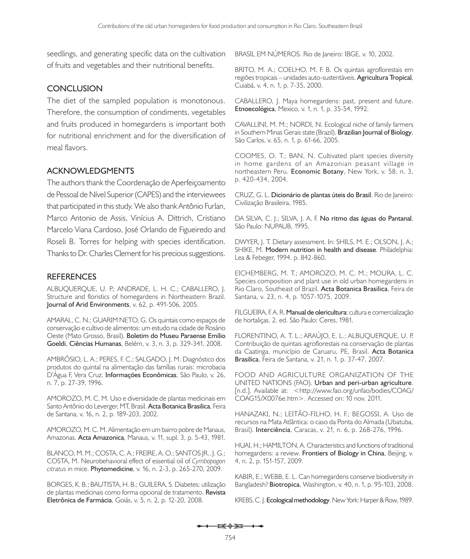seedlings, and generating specific data on the cultivation of fruits and vegetables and their nutritional benefits.

### **Conclusion**

The diet of the sampled population is monotonous. Therefore, the consumption of condiments, vegetables and fruits produced in homegardens is important both for nutritional enrichment and for the diversification of meal flavors.

## **Acknowledgments**

The authors thank the Coordenação de Aperfeiçoamento de Pessoal de Nível Superior (CAPES) and the interviewees that participated in this study. We also thank Antônio Furlan, Marco Antonio de Assis, Vinícius A. Dittrich, Cristiano Marcelo Viana Cardoso, José Orlando de Figueiredo and Roseli B. Torres for helping with species identification. Thanks to Dr. Charles Clement for his precious suggestions.

### **References**

ALBUQUERQUE, U. P.; ANDRADE, L. H. C.; CABALLERO, J. Structure and floristics of homegardens in Northeastern Brazil. **Journal of Arid Environments**, v. 62, p. 491-506, 2005.

AMARAL, C. N.; GUARIM NETO, G. Os quintais como espaços de conservação e cultivo de alimentos: um estudo na cidade de Rosário Oeste (Mato Grosso, Brasil). **Boletim do Museu Paraense Emílio Goeldi. Ciências Humanas**, Belém, v. 3, n. 3, p. 329-341, 2008.

AMBRÓSIO, L. A.; PERES, F. C.; SALGADO, J. M. Diagnóstico dos produtos do quintal na alimentação das famílias rurais: microbacia D'Água F, Vera Cruz. **Informações Econômicas**, São Paulo, v. 26, n. 7, p. 27-39, 1996.

AMOROZO, M. C. M. Uso e diversidade de plantas medicinais em Santo Antônio do Leverger, MT, Brasil. **Acta Botanica Brasilica**, Feira de Santana, v. 16, n. 2, p. 189-203, 2002.

AMOROZO, M. C. M. Alimentação em um bairro pobre de Manaus, Amazonas. **Acta Amazonica**, Manaus, v. 11, supl. 3, p. 5-43, 1981.

BLANCO, M. M.; COSTA, C. A.; FREIRE, A. O.; SANTOS JR., J. G.; COSTA, M. Neurobehavioral effect of essential oil of *Cymbopogon citratus* in mice. **Phytomedicine**, v. 16, n. 2-3, p. 265-270, 2009.

BORGES, K. B.; BAUTISTA, H. B.; GUILERA, S. Diabetes: utilização de plantas medicinais como forma opcional de tratamento. **Revista Eletrônica de Farmácia**, Goiás, v. 5, n. 2, p. 12-20, 2008.

BRASIL EM NÚMEROS. Rio de Janeiro: IBGE, v. 10, 2002.

BRITO, M. A.; COELHO, M. F. B. Os quintais agroflorestais em regiões tropicais – unidades auto-sustentáveis. **Agricultura Tropical**, Cuiabá, v. 4, n. 1, p. 7-35, 2000.

CABALLERO, J. Maya homegardens: past, present and future. **Etnoecológica**, Mexico, v. 1, n. 1, p. 35-54, 1992.

CAVALLINI, M. M.; NORDI, N. Ecological niche of family farmers in Southern Minas Gerais state (Brazil). **Brazilian Journal of Biology**, São Carlos, v. 65, n. 1, p. 61-66, 2005.

COOMES, O. T.; BAN, N. Cultivated plant species diversity in home gardens of an Amazonian peasant village in northeastern Peru. **Economic Botany**, New York, v. 58, n. 3, p. 420-434, 2004.

CRUZ, G. L. **Dicionário de plantas úteis do Brasil**. Rio de Janeiro: Civilização Brasileira, 1985.

DA SILVA, C. J.; SILVA, J. A. F. **No ritmo das águas do Pantanal**. São Paulo: NUPAUB, 1995.

DWYER, J. T. Dietary assessment. In: SHILS, M. E.; OLSON, J. A.; SHIKE, M. **Modern nutrition in health and disease**. Philadelphia: Lea & Febeger, 1994. p. 842-860.

EICHEMBERG, M. T.; AMOROZO, M. C. M.; MOURA, L. C. Species composition and plant use in old urban homegardens in Rio Claro, Southeast of Brazil. **Acta Botanica Brasilica**, Feira de Santana, v. 23, n. 4, p. 1057-1075, 2009.

FILGUEIRA, F. A. R. **Manual de olericultura**: cultura e comercialização de hortaliças. 2. ed. São Paulo: Ceres, 1981.

FLORENTINO, A. T. L.; ARAÚJO, E. L.; ALBUQUERQUE, U. P. Contribuição de quintais agroflorestais na conservação de plantas da Caatinga, município de Caruaru, PE, Brasil. **Acta Botanica Brasilica**, Feira de Santana, v. 21, n. 1, p. 37-47, 2007.

FOOD AND AGRICULTURE ORGANIZATION OF THE UNITED NATIONS (FAO). **Urban and peri-urban agriculture**. [n.d.]. Available at: < http://www.fao.org/unfao/bodies/COAG/ COAG15/X0076e.htm>. Accessed on: 10 nov. 2011.

HANAZAKI, N.; LEITÃO-FILHO, H. F.; BEGOSSI, A. Uso de recursos na Mata Atlântica: o caso da Ponta do Almada (Ubatuba, Brasil). **Interciência**, Caracas, v. 21, n. 6, p. 268-276, 1996.

HUAI, H.; HAMILTON, A. Characteristics and functions of traditional homegardens: a review. **Frontiers of Biology in China**, Beijing, v. 4, n. 2, p. 151-157, 2009.

KABIR, E.; WEBB, E. L. Can homegardens conserve biodiversity in Bangladesh? **Biotropica**, Washington, v. 40, n. 1, p. 95-103, 2008.

KREBS, C. J. **Ecological methodology**. New York: Harper & Row, 1989.

 $\mathbf{E} \oplus \mathbf{H} \dashrightarrow$